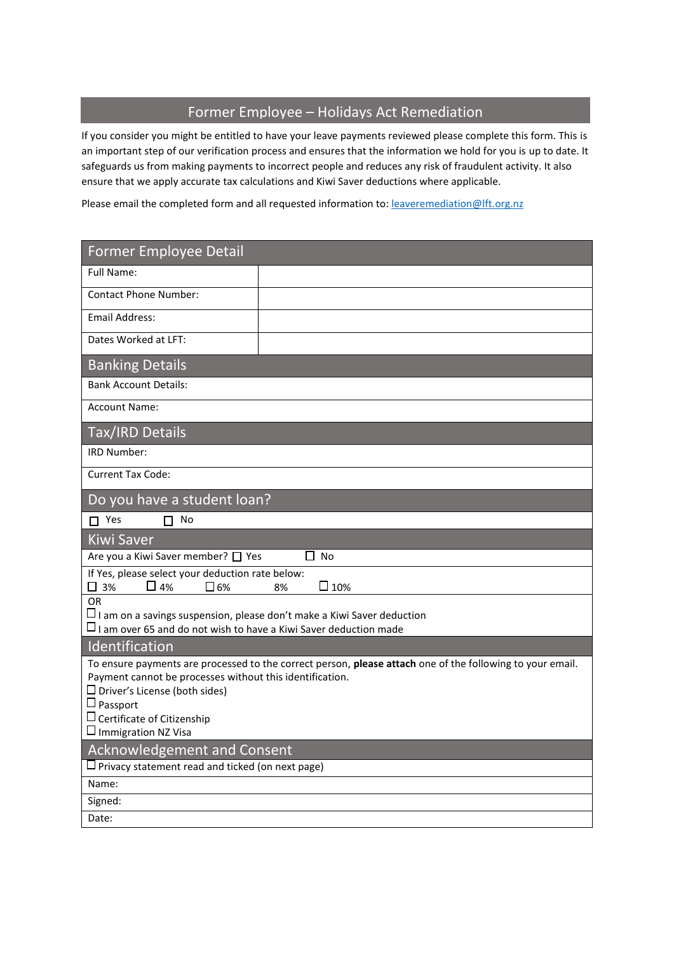# Former Employee – Holidays Act Remediation

If you consider you might be entitled to have your leave payments reviewed please complete this form. This is an important step of our verification process and ensures that the information we hold for you is up to date. It safeguards us from making payments to incorrect people and reduces any risk of fraudulent activity. It also ensure that we apply accurate tax calculations and Kiwi Saver deductions where applicable.

Please email the completed form and all requested information to: [leaveremediation@lft.org.nz](mailto:leaveremediation@lft.org.nz)

| <b>Former Employee Detail</b>                                                                                                                                                                                                                                                                             |  |
|-----------------------------------------------------------------------------------------------------------------------------------------------------------------------------------------------------------------------------------------------------------------------------------------------------------|--|
| Full Name:                                                                                                                                                                                                                                                                                                |  |
| <b>Contact Phone Number:</b>                                                                                                                                                                                                                                                                              |  |
| <b>Email Address:</b>                                                                                                                                                                                                                                                                                     |  |
| Dates Worked at LFT:                                                                                                                                                                                                                                                                                      |  |
| <b>Banking Details</b>                                                                                                                                                                                                                                                                                    |  |
| <b>Bank Account Details:</b>                                                                                                                                                                                                                                                                              |  |
| <b>Account Name:</b>                                                                                                                                                                                                                                                                                      |  |
| <b>Tax/IRD Details</b>                                                                                                                                                                                                                                                                                    |  |
| IRD Number:                                                                                                                                                                                                                                                                                               |  |
| <b>Current Tax Code:</b>                                                                                                                                                                                                                                                                                  |  |
| Do you have a student loan?                                                                                                                                                                                                                                                                               |  |
| $\Box$ Yes<br>$\Box$ No                                                                                                                                                                                                                                                                                   |  |
| <b>Kiwi Saver</b>                                                                                                                                                                                                                                                                                         |  |
| Are you a Kiwi Saver member? □ Yes<br>$\Box$ No                                                                                                                                                                                                                                                           |  |
| If Yes, please select your deduction rate below:<br>$\square$ 10%<br>$\square$ 3%<br>$\Box$ 4%<br>$\square$ 6%<br>8%                                                                                                                                                                                      |  |
| <b>OR</b><br>$\square$ I am on a savings suspension, please don't make a Kiwi Saver deduction<br>$\Box$ I am over 65 and do not wish to have a Kiwi Saver deduction made                                                                                                                                  |  |
| Identification                                                                                                                                                                                                                                                                                            |  |
| To ensure payments are processed to the correct person, please attach one of the following to your email.<br>Payment cannot be processes without this identification.<br>$\Box$ Driver's License (both sides)<br>$\Box$ Passport<br>$\square$ Certificate of Citizenship<br>$\square$ Immigration NZ Visa |  |
| <b>Acknowledgement and Consent</b>                                                                                                                                                                                                                                                                        |  |
| $\square$ Privacy statement read and ticked (on next page)                                                                                                                                                                                                                                                |  |
| Name:                                                                                                                                                                                                                                                                                                     |  |
| Signed:                                                                                                                                                                                                                                                                                                   |  |
| Date:                                                                                                                                                                                                                                                                                                     |  |